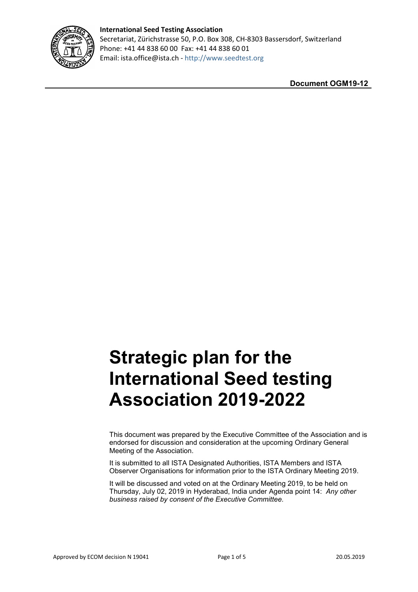

## **International Seed Testing Association**  Secretariat, Zürichstrasse 50, P.O. Box 308, CH-8303 Bassersdorf, Switzerland Phone: +41 44 838 60 00 Fax: +41 44 838 60 01 Email: ista.office@ista.ch - [http://www.seedtest.org](http://www.seedtest.org/)

**Document OGM19-12**

# **Strategic plan for the International Seed testing Association 2019-2022**

This document was prepared by the Executive Committee of the Association and is endorsed for discussion and consideration at the upcoming Ordinary General Meeting of the Association.

It is submitted to all ISTA Designated Authorities, ISTA Members and ISTA Observer Organisations for information prior to the ISTA Ordinary Meeting 2019.

It will be discussed and voted on at the Ordinary Meeting 2019, to be held on Thursday, July 02, 2019 in Hyderabad, India under Agenda point 14: *Any other business raised by consent of the Executive Committee.*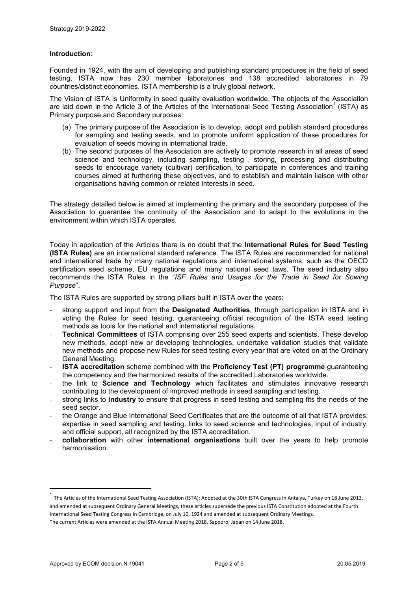#### **Introduction:**

Founded in 1924, with the aim of developing and publishing standard procedures in the field of seed testing, ISTA now has 230 member laboratories and 138 accredited laboratories in 79 countries/distinct economies. ISTA membership is a truly global network.

The Vision of ISTA is Uniformity in seed quality evaluation worldwide. The objects of the Association are laid down in the Article 3 of the Articles of the International Seed Testing Association<sup>[1](#page-1-0)</sup> (ISTA) as Primary purpose and Secondary purposes:

- (a) The primary purpose of the Association is to develop, adopt and publish standard procedures for sampling and testing seeds, and to promote uniform application of these procedures for evaluation of seeds moving in international trade.
- (b) The second purposes of the Association are actively to promote research in all areas of seed science and technology, including sampling, testing , storing, processing and distributing seeds to encourage variety (cultivar) certification, to participate in conferences and training courses aimed at furthering these objectives, and to establish and maintain liaison with other organisations having common or related interests in seed.

The strategy detailed below is aimed at implementing the primary and the secondary purposes of the Association to guarantee the continuity of the Association and to adapt to the evolutions in the environment within which ISTA operates.

Today in application of the Articles there is no doubt that the **International Rules for Seed Testing (ISTA Rules)** are an international standard reference. The ISTA Rules are recommended for national and international trade by many national regulations and international systems, such as the OECD certification seed scheme, EU regulations and many national seed laws. The seed industry also recommends the ISTA Rules in the "*ISF Rules and Usages for the Trade in Seed for Sowing Purpose*".

The ISTA Rules are supported by strong pillars built in ISTA over the years:

- strong support and input from the **Designated Authorities**, through participation in ISTA and in voting the Rules for seed testing, guaranteeing official recognition of the ISTA seed testing methods as tools for the national and international regulations.
- **Technical Committees** of ISTA comprising over 255 seed experts and scientists. These develop new methods, adopt new or developing technologies, undertake validation studies that validate new methods and propose new Rules for seed testing every year that are voted on at the Ordinary General Meeting.
- **ISTA accreditation** scheme combined with the **Proficiency Test (PT) programme** guaranteeing the competency and the harmonized results of the accredited Laboratories worldwide.
- the link to **Science and Technology** which facilitates and stimulates innovative research contributing to the development of improved methods in seed sampling and testing.
- strong links to **Industry** to ensure that progress in seed testing and sampling fits the needs of the seed sector.
- the Orange and Blue International Seed Certificates that are the outcome of all that ISTA provides: expertise in seed sampling and testing, links to seed science and technologies, input of industry, and official support, all recognized by the ISTA accreditation.
- **collaboration** with other **international organisations** built over the years to help promote harmonisation.

<span id="page-1-0"></span> $^1$  The Articles of the International Seed Testing Association (ISTA): Adopted at the 30th ISTA Congress in Antalya, Turkey on 18 June 2013, and amended at subsequent Ordinary General Meetings, these articles supersede the previous ISTA Constitution adopted at the Fourth International Seed Testing Congress in Cambridge, on July 10, 1924 and amended at subsequent Ordinary Meetings. The current Articles were amended at the ISTA Annual Meeting 2018, Sapporo, Japan on 14 June 2018.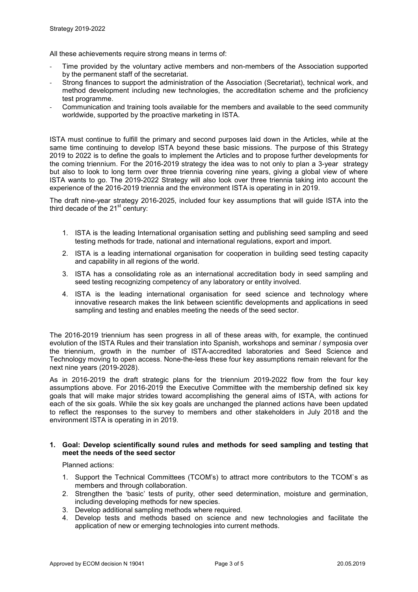All these achievements require strong means in terms of:

- Time provided by the voluntary active members and non-members of the Association supported by the permanent staff of the secretariat.
- Strong finances to support the administration of the Association (Secretariat), technical work, and method development including new technologies, the accreditation scheme and the proficiency test programme.
- Communication and training tools available for the members and available to the seed community worldwide, supported by the proactive marketing in ISTA.

ISTA must continue to fulfill the primary and second purposes laid down in the Articles, while at the same time continuing to develop ISTA beyond these basic missions. The purpose of this Strategy 2019 to 2022 is to define the goals to implement the Articles and to propose further developments for the coming triennium. For the 2016-2019 strategy the idea was to not only to plan a 3-year strategy but also to look to long term over three triennia covering nine years, giving a global view of where ISTA wants to go. The 2019-2022 Strategy will also look over three triennia taking into account the experience of the 2016-2019 triennia and the environment ISTA is operating in in 2019.

The draft nine-year strategy 2016-2025, included four key assumptions that will guide ISTA into the third decade of the  $21<sup>st</sup>$  century:

- 1. ISTA is the leading International organisation setting and publishing seed sampling and seed testing methods for trade, national and international regulations, export and import.
- 2. ISTA is a leading international organisation for cooperation in building seed testing capacity and capability in all regions of the world.
- 3. ISTA has a consolidating role as an international accreditation body in seed sampling and seed testing recognizing competency of any laboratory or entity involved.
- 4. ISTA is the leading international organisation for seed science and technology where innovative research makes the link between scientific developments and applications in seed sampling and testing and enables meeting the needs of the seed sector.

The 2016-2019 triennium has seen progress in all of these areas with, for example, the continued evolution of the ISTA Rules and their translation into Spanish, workshops and seminar / symposia over the triennium, growth in the number of ISTA-accredited laboratories and Seed Science and Technology moving to open access. None-the-less these four key assumptions remain relevant for the next nine years (2019-2028).

As in 2016-2019 the draft strategic plans for the triennium 2019-2022 flow from the four key assumptions above. For 2016-2019 the Executive Committee with the membership defined six key goals that will make major strides toward accomplishing the general aims of ISTA, with actions for each of the six goals. While the six key goals are unchanged the planned actions have been updated to reflect the responses to the survey to members and other stakeholders in July 2018 and the environment ISTA is operating in in 2019.

#### **1. Goal: Develop scientifically sound rules and methods for seed sampling and testing that meet the needs of the seed sector**

Planned actions:

- 1. Support the Technical Committees (TCOM's) to attract more contributors to the TCOM`s as members and through collaboration.
- 2. Strengthen the 'basic' tests of purity, other seed determination, moisture and germination, including developing methods for new species.
- 3. Develop additional sampling methods where required.
- 4. Develop tests and methods based on science and new technologies and facilitate the application of new or emerging technologies into current methods.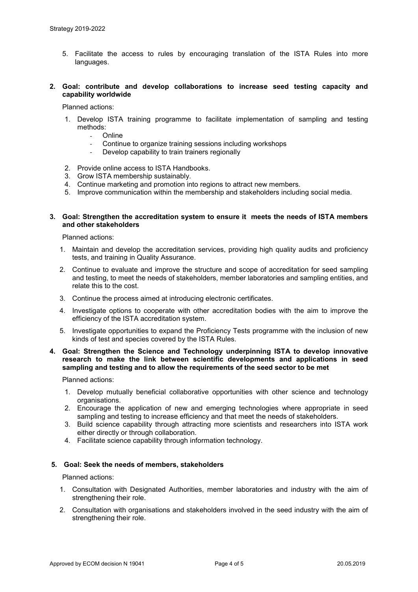- 5. Facilitate the access to rules by encouraging translation of the ISTA Rules into more languages.
- **2. Goal: contribute and develop collaborations to increase seed testing capacity and capability worldwide**

Planned actions:

- 1. Develop ISTA training programme to facilitate implementation of sampling and testing methods:
	- Online
	- Continue to organize training sessions including workshops
	- Develop capability to train trainers regionally
- 2. Provide online access to ISTA Handbooks.
- 3. Grow ISTA membership sustainably.
- 4. Continue marketing and promotion into regions to attract new members.
- 5. Improve communication within the membership and stakeholders including social media.

#### **3. Goal: Strengthen the accreditation system to ensure it meets the needs of ISTA members and other stakeholders**

Planned actions:

- 1. Maintain and develop the accreditation services, providing high quality audits and proficiency tests, and training in Quality Assurance.
- 2. Continue to evaluate and improve the structure and scope of accreditation for seed sampling and testing, to meet the needs of stakeholders, member laboratories and sampling entities, and relate this to the cost.
- 3. Continue the process aimed at introducing electronic certificates.
- 4. Investigate options to cooperate with other accreditation bodies with the aim to improve the efficiency of the ISTA accreditation system.
- 5. Investigate opportunities to expand the Proficiency Tests programme with the inclusion of new kinds of test and species covered by the ISTA Rules.

### **4. Goal: Strengthen the Science and Technology underpinning ISTA to develop innovative research to make the link between scientific developments and applications in seed sampling and testing and to allow the requirements of the seed sector to be met**

Planned actions:

- 1. Develop mutually beneficial collaborative opportunities with other science and technology organisations.
- 2. Encourage the application of new and emerging technologies where appropriate in seed sampling and testing to increase efficiency and that meet the needs of stakeholders.
- 3. Build science capability through attracting more scientists and researchers into ISTA work either directly or through collaboration.
- 4. Facilitate science capability through information technology.

#### **5. Goal: Seek the needs of members, stakeholders**

Planned actions:

- 1. Consultation with Designated Authorities, member laboratories and industry with the aim of strengthening their role.
- 2. Consultation with organisations and stakeholders involved in the seed industry with the aim of strengthening their role.